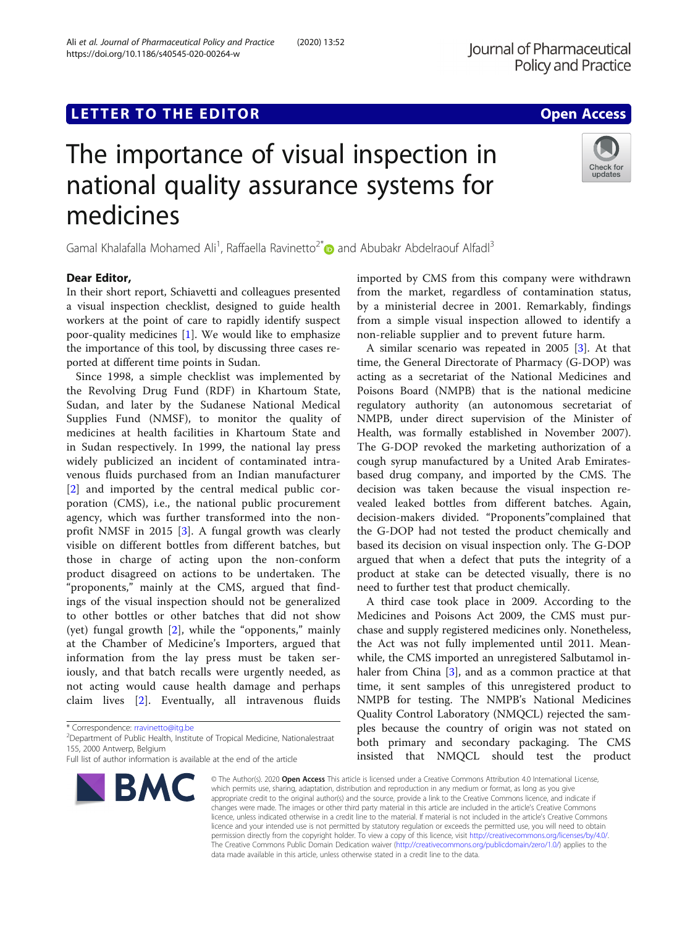### **LETTER TO THE EDITOR CONSIDERING ACCESS**

# The importance of visual inspection in national quality assurance systems for medicines

Gamal Khalafalla Mohamed Ali<sup>1</sup>, Raffaella Ravinetto<sup>2[\\*](http://orcid.org/0000-0001-7765-2443)</sup> and Abubakr Abdelraouf Alfadl<sup>3</sup>

#### Dear Editor,

In their short report, Schiavetti and colleagues presented a visual inspection checklist, designed to guide health workers at the point of care to rapidly identify suspect poor-quality medicines [\[1](#page-1-0)]. We would like to emphasize the importance of this tool, by discussing three cases reported at different time points in Sudan.

Since 1998, a simple checklist was implemented by the Revolving Drug Fund (RDF) in Khartoum State, Sudan, and later by the Sudanese National Medical Supplies Fund (NMSF), to monitor the quality of medicines at health facilities in Khartoum State and in Sudan respectively. In 1999, the national lay press widely publicized an incident of contaminated intravenous fluids purchased from an Indian manufacturer [[2\]](#page-1-0) and imported by the central medical public corporation (CMS), i.e., the national public procurement agency, which was further transformed into the nonprofit NMSF in 2015 [[3\]](#page-1-0). A fungal growth was clearly visible on different bottles from different batches, but those in charge of acting upon the non-conform product disagreed on actions to be undertaken. The "proponents," mainly at the CMS, argued that findings of the visual inspection should not be generalized to other bottles or other batches that did not show (yet) fungal growth [[2\]](#page-1-0), while the "opponents," mainly at the Chamber of Medicine's Importers, argued that information from the lay press must be taken seriously, and that batch recalls were urgently needed, as not acting would cause health damage and perhaps claim lives [\[2](#page-1-0)]. Eventually, all intravenous fluids

**BMC** 

imported by CMS from this company were withdrawn from the market, regardless of contamination status, by a ministerial decree in 2001. Remarkably, findings from a simple visual inspection allowed to identify a non-reliable supplier and to prevent future harm. A similar scenario was repeated in 2005 [\[3](#page-1-0)]. At that

time, the General Directorate of Pharmacy (G-DOP) was acting as a secretariat of the National Medicines and Poisons Board (NMPB) that is the national medicine regulatory authority (an autonomous secretariat of NMPB, under direct supervision of the Minister of Health, was formally established in November 2007). The G-DOP revoked the marketing authorization of a cough syrup manufactured by a United Arab Emiratesbased drug company, and imported by the CMS. The decision was taken because the visual inspection revealed leaked bottles from different batches. Again, decision-makers divided. "Proponents"complained that the G-DOP had not tested the product chemically and based its decision on visual inspection only. The G-DOP argued that when a defect that puts the integrity of a product at stake can be detected visually, there is no need to further test that product chemically.

A third case took place in 2009. According to the Medicines and Poisons Act 2009, the CMS must purchase and supply registered medicines only. Nonetheless, the Act was not fully implemented until 2011. Meanwhile, the CMS imported an unregistered Salbutamol in-haler from China [\[3](#page-1-0)], and as a common practice at that time, it sent samples of this unregistered product to NMPB for testing. The NMPB's National Medicines Quality Control Laboratory (NMQCL) rejected the samples because the country of origin was not stated on both primary and secondary packaging. The CMS insisted that NMQCL should test the product

© The Author(s). 2020 Open Access This article is licensed under a Creative Commons Attribution 4.0 International License, which permits use, sharing, adaptation, distribution and reproduction in any medium or format, as long as you give appropriate credit to the original author(s) and the source, provide a link to the Creative Commons licence, and indicate if changes were made. The images or other third party material in this article are included in the article's Creative Commons licence, unless indicated otherwise in a credit line to the material. If material is not included in the article's Creative Commons licence and your intended use is not permitted by statutory regulation or exceeds the permitted use, you will need to obtain permission directly from the copyright holder. To view a copy of this licence, visit [http://creativecommons.org/licenses/by/4.0/.](http://creativecommons.org/licenses/by/4.0/) The Creative Commons Public Domain Dedication waiver [\(http://creativecommons.org/publicdomain/zero/1.0/](http://creativecommons.org/publicdomain/zero/1.0/)) applies to the data made available in this article, unless otherwise stated in a credit line to the data.





<sup>\*</sup> Correspondence: [rravinetto@itg.be](mailto:rravinetto@itg.be) <sup>2</sup>

<sup>&</sup>lt;sup>2</sup>Department of Public Health, Institute of Tropical Medicine, Nationalestraat 155, 2000 Antwerp, Belgium

Full list of author information is available at the end of the article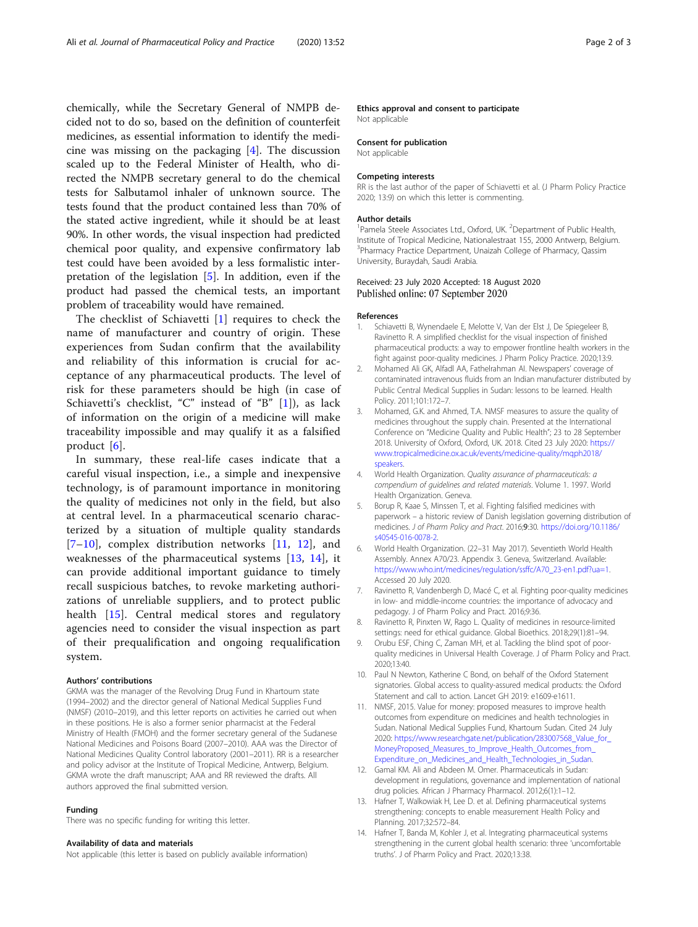<span id="page-1-0"></span>chemically, while the Secretary General of NMPB decided not to do so, based on the definition of counterfeit medicines, as essential information to identify the medicine was missing on the packaging [4]. The discussion scaled up to the Federal Minister of Health, who directed the NMPB secretary general to do the chemical tests for Salbutamol inhaler of unknown source. The tests found that the product contained less than 70% of the stated active ingredient, while it should be at least 90%. In other words, the visual inspection had predicted chemical poor quality, and expensive confirmatory lab test could have been avoided by a less formalistic interpretation of the legislation [5]. In addition, even if the product had passed the chemical tests, an important problem of traceability would have remained.

The checklist of Schiavetti [1] requires to check the name of manufacturer and country of origin. These experiences from Sudan confirm that the availability and reliability of this information is crucial for acceptance of any pharmaceutical products. The level of risk for these parameters should be high (in case of Schiavetti's checklist, "C" instead of "B" [1]), as lack of information on the origin of a medicine will make traceability impossible and may qualify it as a falsified product [6].

In summary, these real-life cases indicate that a careful visual inspection, i.e., a simple and inexpensive technology, is of paramount importance in monitoring the quality of medicines not only in the field, but also at central level. In a pharmaceutical scenario characterized by a situation of multiple quality standards [7–10], complex distribution networks [11, 12], and weaknesses of the pharmaceutical systems [13, 14], it can provide additional important guidance to timely recall suspicious batches, to revoke marketing authorizations of unreliable suppliers, and to protect public health [[15](#page-2-0)]. Central medical stores and regulatory agencies need to consider the visual inspection as part of their prequalification and ongoing requalification system.

#### Authors' contributions

GKMA was the manager of the Revolving Drug Fund in Khartoum state (1994–2002) and the director general of National Medical Supplies Fund (NMSF) (2010–2019), and this letter reports on activities he carried out when in these positions. He is also a former senior pharmacist at the Federal Ministry of Health (FMOH) and the former secretary general of the Sudanese National Medicines and Poisons Board (2007–2010). AAA was the Director of National Medicines Quality Control laboratory (2001–2011). RR is a researcher and policy advisor at the Institute of Tropical Medicine, Antwerp, Belgium. GKMA wrote the draft manuscript; AAA and RR reviewed the drafts. All authors approved the final submitted version.

#### Funding

There was no specific funding for writing this letter.

#### Availability of data and materials

Not applicable (this letter is based on publicly available information)

#### Ethics approval and consent to participate

Not applicable

#### Consent for publication

Not applicable

#### Competing interests

RR is the last author of the paper of Schiavetti et al. (J Pharm Policy Practice 2020; 13:9) on which this letter is commenting.

#### Author details

<sup>1</sup> Pamela Steele Associates Ltd., Oxford, UK. <sup>2</sup> Department of Public Health Institute of Tropical Medicine, Nationalestraat 155, 2000 Antwerp, Belgium. 3 Pharmacy Practice Department, Unaizah College of Pharmacy, Qassim University, Buraydah, Saudi Arabia.

## Received: 23 July 2020 Accepted: 18 August 2020<br>Published online: 07 September 2020

#### References

- Schiavetti B, Wynendaele E, Melotte V, Van der Elst J, De Spiegeleer B, Ravinetto R. A simplified checklist for the visual inspection of finished pharmaceutical products: a way to empower frontline health workers in the fight against poor-quality medicines. J Pharm Policy Practice. 2020;13:9.
- 2. Mohamed Ali GK, Alfadl AA, Fathelrahman AI. Newspapers' coverage of contaminated intravenous fluids from an Indian manufacturer distributed by Public Central Medical Supplies in Sudan: lessons to be learned. Health Policy. 2011;101:172–7.
- 3. Mohamed, G.K. and Ahmed, T.A. NMSF measures to assure the quality of medicines throughout the supply chain. Presented at the International Conference on "Medicine Quality and Public Health"; 23 to 28 September 2018. University of Oxford, Oxford, UK. 2018. Cited 23 July 2020: [https://](https://www.tropicalmedicine.ox.ac.uk/events/medicine-quality/mqph2018/speakers) [www.tropicalmedicine.ox.ac.uk/events/medicine-quality/mqph2018/](https://www.tropicalmedicine.ox.ac.uk/events/medicine-quality/mqph2018/speakers) [speakers.](https://www.tropicalmedicine.ox.ac.uk/events/medicine-quality/mqph2018/speakers)
- 4. World Health Organization. Quality assurance of pharmaceuticals: a compendium of guidelines and related materials. Volume 1. 1997. World Health Organization. Geneva.
- 5. Borup R, Kaae S, Minssen T, et al. Fighting falsified medicines with paperwork – a historic review of Danish legislation governing distribution of medicines. J of Pharm Policy and Pract. 2016;9:30. [https://doi.org/10.1186/](https://doi.org/10.1186/s40545-016-0078-2) [s40545-016-0078-2.](https://doi.org/10.1186/s40545-016-0078-2)
- 6. World Health Organization. (22–31 May 2017). Seventieth World Health Assembly. Annex A70/23. Appendix 3. Geneva, Switzerland. Available: [https://www.who.int/medicines/regulation/ssffc/A70\\_23-en1.pdf?ua=1.](https://www.who.int/medicines/regulation/ssffc/A70_23-en1.pdf?ua=1) Accessed 20 July 2020.
- 7. Ravinetto R, Vandenbergh D, Macé C, et al. Fighting poor-quality medicines in low- and middle-income countries: the importance of advocacy and pedagogy. J of Pharm Policy and Pract. 2016;9:36.
- 8. Ravinetto R, Pinxten W, Rago L. Quality of medicines in resource-limited settings: need for ethical guidance. Global Bioethics. 2018;29(1):81–94.
- 9. Orubu ESF, Ching C, Zaman MH, et al. Tackling the blind spot of poorquality medicines in Universal Health Coverage. J of Pharm Policy and Pract. 2020;13:40.
- 10. Paul N Newton, Katherine C Bond, on behalf of the Oxford Statement signatories. Global access to quality-assured medical products: the Oxford Statement and call to action. Lancet GH 2019: e1609-e1611.
- 11. NMSF, 2015. Value for money: proposed measures to improve health outcomes from expenditure on medicines and health technologies in Sudan. National Medical Supplies Fund, Khartoum Sudan. Cited 24 July 2020: [https://www.researchgate.net/publication/283007568\\_Value\\_for\\_](https://www.researchgate.net/publication/283007568_Value_for_MoneyProposed_Measures_to_Improve_Health_Outcomes_from_Expenditure_on_Medicines_and_Health_Technologies_in_Sudan) [MoneyProposed\\_Measures\\_to\\_Improve\\_Health\\_Outcomes\\_from\\_](https://www.researchgate.net/publication/283007568_Value_for_MoneyProposed_Measures_to_Improve_Health_Outcomes_from_Expenditure_on_Medicines_and_Health_Technologies_in_Sudan) [Expenditure\\_on\\_Medicines\\_and\\_Health\\_Technologies\\_in\\_Sudan](https://www.researchgate.net/publication/283007568_Value_for_MoneyProposed_Measures_to_Improve_Health_Outcomes_from_Expenditure_on_Medicines_and_Health_Technologies_in_Sudan).
- 12. Gamal KM. Ali and Abdeen M. Omer. Pharmaceuticals in Sudan: development in regulations, governance and implementation of national drug policies. African J Pharmacy Pharmacol. 2012;6(1):1–12.
- 13. Hafner T, Walkowiak H, Lee D. et al. Defining pharmaceutical systems strengthening: concepts to enable measurement Health Policy and Planning. 2017;32:572–84.
- 14. Hafner T, Banda M, Kohler J, et al. Integrating pharmaceutical systems strengthening in the current global health scenario: three 'uncomfortable truths'. J of Pharm Policy and Pract. 2020;13:38.